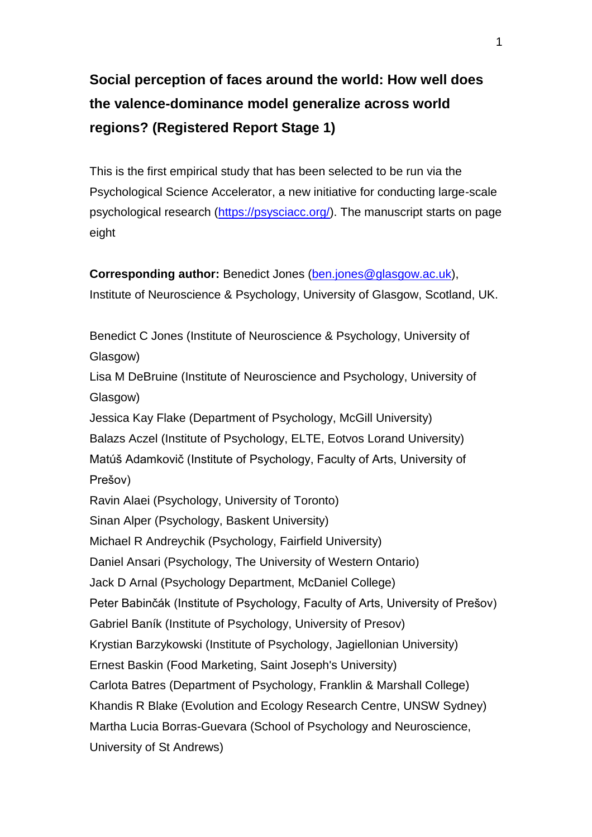# **Social perception of faces around the world: How well does the valence-dominance model generalize across world regions? (Registered Report Stage 1)**

This is the first empirical study that has been selected to be run via the Psychological Science Accelerator, a new initiative for conducting large-scale psychological research [\(https://psysciacc.org/\)](https://psysciacc.org/). The manuscript starts on page eight

**Corresponding author:** Benedict Jones [\(ben.jones@glasgow.ac.uk\)](mailto:ben.jones@glasgow.ac.uk), Institute of Neuroscience & Psychology, University of Glasgow, Scotland, UK.

Benedict C Jones (Institute of Neuroscience & Psychology, University of Glasgow)

Lisa M DeBruine (Institute of Neuroscience and Psychology, University of Glasgow)

Jessica Kay Flake (Department of Psychology, McGill University) Balazs Aczel (Institute of Psychology, ELTE, Eotvos Lorand University) Matúš Adamkovič (Institute of Psychology, Faculty of Arts, University of Prešov) Ravin Alaei (Psychology, University of Toronto) Sinan Alper (Psychology, Baskent University)

Michael R Andreychik (Psychology, Fairfield University)

Daniel Ansari (Psychology, The University of Western Ontario)

Jack D Arnal (Psychology Department, McDaniel College)

Peter Babinčák (Institute of Psychology, Faculty of Arts, University of Prešov)

Gabriel Baník (Institute of Psychology, University of Presov)

Krystian Barzykowski (Institute of Psychology, Jagiellonian University)

Ernest Baskin (Food Marketing, Saint Joseph's University)

Carlota Batres (Department of Psychology, Franklin & Marshall College)

Khandis R Blake (Evolution and Ecology Research Centre, UNSW Sydney)

Martha Lucia Borras-Guevara (School of Psychology and Neuroscience,

University of St Andrews)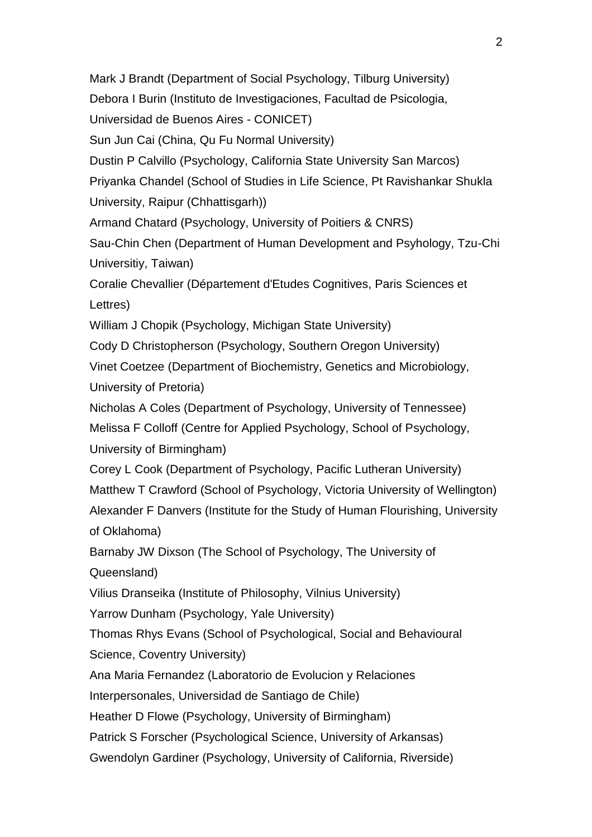Mark J Brandt (Department of Social Psychology, Tilburg University) Debora I Burin (Instituto de Investigaciones, Facultad de Psicologia, Universidad de Buenos Aires - CONICET) Sun Jun Cai (China, Qu Fu Normal University) Dustin P Calvillo (Psychology, California State University San Marcos) Priyanka Chandel (School of Studies in Life Science, Pt Ravishankar Shukla University, Raipur (Chhattisgarh)) Armand Chatard (Psychology, University of Poitiers & CNRS) Sau-Chin Chen (Department of Human Development and Psyhology, Tzu-Chi Universitiy, Taiwan) Coralie Chevallier (Département d'Etudes Cognitives, Paris Sciences et Lettres) William J Chopik (Psychology, Michigan State University) Cody D Christopherson (Psychology, Southern Oregon University) Vinet Coetzee (Department of Biochemistry, Genetics and Microbiology, University of Pretoria) Nicholas A Coles (Department of Psychology, University of Tennessee) Melissa F Colloff (Centre for Applied Psychology, School of Psychology, University of Birmingham) Corey L Cook (Department of Psychology, Pacific Lutheran University) Matthew T Crawford (School of Psychology, Victoria University of Wellington) Alexander F Danvers (Institute for the Study of Human Flourishing, University of Oklahoma) Barnaby JW Dixson (The School of Psychology, The University of Queensland) Vilius Dranseika (Institute of Philosophy, Vilnius University) Yarrow Dunham (Psychology, Yale University) Thomas Rhys Evans (School of Psychological, Social and Behavioural Science, Coventry University) Ana Maria Fernandez (Laboratorio de Evolucion y Relaciones Interpersonales, Universidad de Santiago de Chile) Heather D Flowe (Psychology, University of Birmingham) Patrick S Forscher (Psychological Science, University of Arkansas) Gwendolyn Gardiner (Psychology, University of California, Riverside)

 $\mathfrak{D}$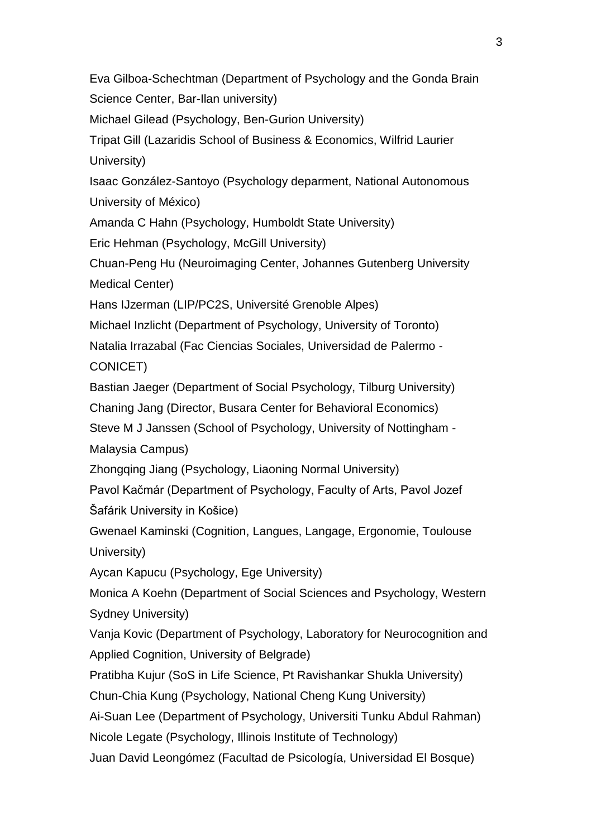Eva Gilboa-Schechtman (Department of Psychology and the Gonda Brain Science Center, Bar-Ilan university)

Michael Gilead (Psychology, Ben-Gurion University)

Tripat Gill (Lazaridis School of Business & Economics, Wilfrid Laurier University)

Isaac González-Santoyo (Psychology deparment, National Autonomous University of México)

Amanda C Hahn (Psychology, Humboldt State University)

Eric Hehman (Psychology, McGill University)

Chuan-Peng Hu (Neuroimaging Center, Johannes Gutenberg University Medical Center)

Hans IJzerman (LIP/PC2S, Université Grenoble Alpes)

Michael Inzlicht (Department of Psychology, University of Toronto)

Natalia Irrazabal (Fac Ciencias Sociales, Universidad de Palermo -

CONICET)

Bastian Jaeger (Department of Social Psychology, Tilburg University)

Chaning Jang (Director, Busara Center for Behavioral Economics)

Steve M J Janssen (School of Psychology, University of Nottingham -

Malaysia Campus)

Zhongqing Jiang (Psychology, Liaoning Normal University)

Pavol Kačmár (Department of Psychology, Faculty of Arts, Pavol Jozef Šafárik University in Košice)

Gwenael Kaminski (Cognition, Langues, Langage, Ergonomie, Toulouse University)

Aycan Kapucu (Psychology, Ege University)

Monica A Koehn (Department of Social Sciences and Psychology, Western Sydney University)

Vanja Kovic (Department of Psychology, Laboratory for Neurocognition and Applied Cognition, University of Belgrade)

Pratibha Kujur (SoS in Life Science, Pt Ravishankar Shukla University)

Chun-Chia Kung (Psychology, National Cheng Kung University)

Ai-Suan Lee (Department of Psychology, Universiti Tunku Abdul Rahman) Nicole Legate (Psychology, Illinois Institute of Technology)

Juan David Leongómez (Facultad de Psicología, Universidad El Bosque)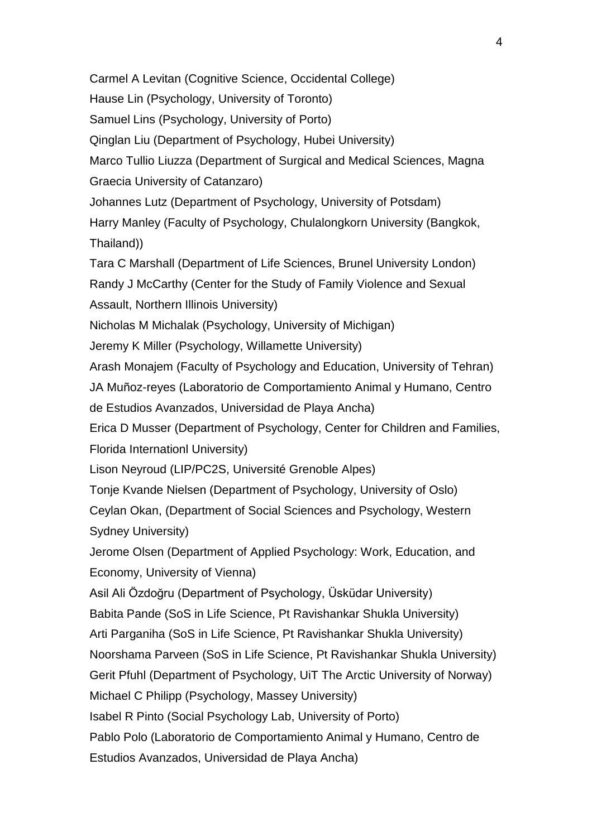Carmel A Levitan (Cognitive Science, Occidental College)

Hause Lin (Psychology, University of Toronto)

Samuel Lins (Psychology, University of Porto)

Qinglan Liu (Department of Psychology, Hubei University)

Marco Tullio Liuzza (Department of Surgical and Medical Sciences, Magna Graecia University of Catanzaro)

Johannes Lutz (Department of Psychology, University of Potsdam)

Harry Manley (Faculty of Psychology, Chulalongkorn University (Bangkok, Thailand))

Tara C Marshall (Department of Life Sciences, Brunel University London)

Randy J McCarthy (Center for the Study of Family Violence and Sexual Assault, Northern Illinois University)

Nicholas M Michalak (Psychology, University of Michigan)

Jeremy K Miller (Psychology, Willamette University)

Arash Monajem (Faculty of Psychology and Education, University of Tehran) JA Muñoz-reyes (Laboratorio de Comportamiento Animal y Humano, Centro

de Estudios Avanzados, Universidad de Playa Ancha)

Erica D Musser (Department of Psychology, Center for Children and Families, Florida Internationl University)

Lison Neyroud (LIP/PC2S, Université Grenoble Alpes)

Tonje Kvande Nielsen (Department of Psychology, University of Oslo)

Ceylan Okan, (Department of Social Sciences and Psychology, Western Sydney University)

Jerome Olsen (Department of Applied Psychology: Work, Education, and Economy, University of Vienna)

Asil Ali Özdoğru (Department of Psychology, Üsküdar University) Babita Pande (SoS in Life Science, Pt Ravishankar Shukla University) Arti Parganiha (SoS in Life Science, Pt Ravishankar Shukla University) Noorshama Parveen (SoS in Life Science, Pt Ravishankar Shukla University) Gerit Pfuhl (Department of Psychology, UiT The Arctic University of Norway) Michael C Philipp (Psychology, Massey University) Isabel R Pinto (Social Psychology Lab, University of Porto) Pablo Polo (Laboratorio de Comportamiento Animal y Humano, Centro de Estudios Avanzados, Universidad de Playa Ancha)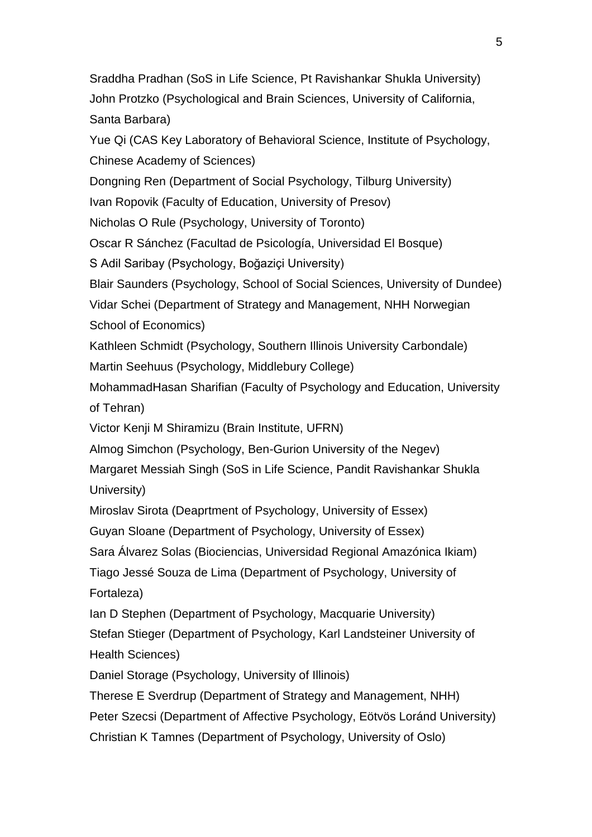Sraddha Pradhan (SoS in Life Science, Pt Ravishankar Shukla University) John Protzko (Psychological and Brain Sciences, University of California, Santa Barbara)

Yue Qi (CAS Key Laboratory of Behavioral Science, Institute of Psychology, Chinese Academy of Sciences)

Dongning Ren (Department of Social Psychology, Tilburg University)

Ivan Ropovik (Faculty of Education, University of Presov)

Nicholas O Rule (Psychology, University of Toronto)

Oscar R Sánchez (Facultad de Psicología, Universidad El Bosque)

S Adil Saribay (Psychology, Boğaziçi University)

Blair Saunders (Psychology, School of Social Sciences, University of Dundee)

Vidar Schei (Department of Strategy and Management, NHH Norwegian School of Economics)

Kathleen Schmidt (Psychology, Southern Illinois University Carbondale) Martin Seehuus (Psychology, Middlebury College)

MohammadHasan Sharifian (Faculty of Psychology and Education, University of Tehran)

Victor Kenji M Shiramizu (Brain Institute, UFRN)

Almog Simchon (Psychology, Ben-Gurion University of the Negev)

Margaret Messiah Singh (SoS in Life Science, Pandit Ravishankar Shukla University)

Miroslav Sirota (Deaprtment of Psychology, University of Essex)

Guyan Sloane (Department of Psychology, University of Essex)

Sara Álvarez Solas (Biociencias, Universidad Regional Amazónica Ikiam)

Tiago Jessé Souza de Lima (Department of Psychology, University of Fortaleza)

Ian D Stephen (Department of Psychology, Macquarie University)

Stefan Stieger (Department of Psychology, Karl Landsteiner University of Health Sciences)

Daniel Storage (Psychology, University of Illinois)

Therese E Sverdrup (Department of Strategy and Management, NHH) Peter Szecsi (Department of Affective Psychology, Eötvös Loránd University) Christian K Tamnes (Department of Psychology, University of Oslo)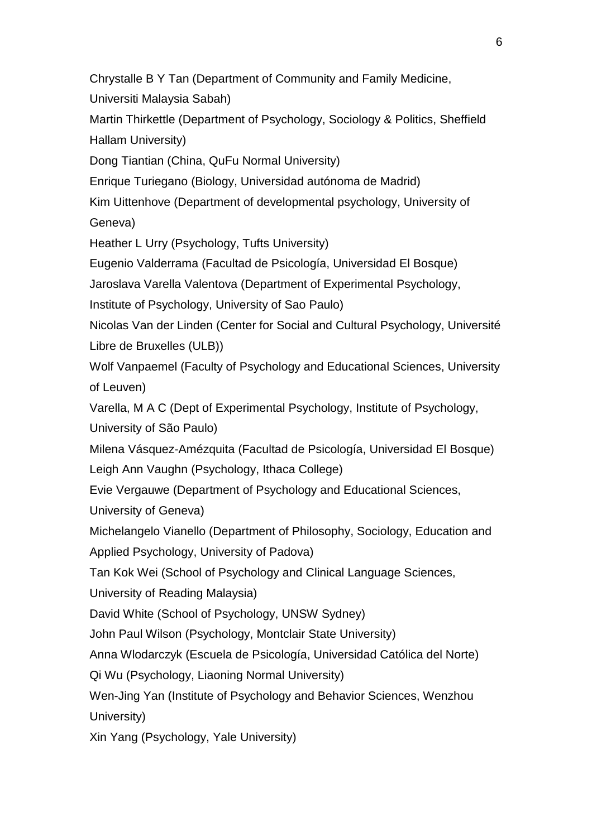Chrystalle B Y Tan (Department of Community and Family Medicine, Universiti Malaysia Sabah)

Martin Thirkettle (Department of Psychology, Sociology & Politics, Sheffield Hallam University)

Dong Tiantian (China, QuFu Normal University)

Enrique Turiegano (Biology, Universidad autónoma de Madrid)

Kim Uittenhove (Department of developmental psychology, University of Geneva)

Heather L Urry (Psychology, Tufts University)

Eugenio Valderrama (Facultad de Psicología, Universidad El Bosque)

Jaroslava Varella Valentova (Department of Experimental Psychology,

Institute of Psychology, University of Sao Paulo)

Nicolas Van der Linden (Center for Social and Cultural Psychology, Université Libre de Bruxelles (ULB))

Wolf Vanpaemel (Faculty of Psychology and Educational Sciences, University of Leuven)

Varella, M A C (Dept of Experimental Psychology, Institute of Psychology, University of São Paulo)

Milena Vásquez-Amézquita (Facultad de Psicología, Universidad El Bosque) Leigh Ann Vaughn (Psychology, Ithaca College)

Evie Vergauwe (Department of Psychology and Educational Sciences,

University of Geneva)

Michelangelo Vianello (Department of Philosophy, Sociology, Education and Applied Psychology, University of Padova)

Tan Kok Wei (School of Psychology and Clinical Language Sciences,

University of Reading Malaysia)

David White (School of Psychology, UNSW Sydney)

John Paul Wilson (Psychology, Montclair State University)

Anna Wlodarczyk (Escuela de Psicología, Universidad Católica del Norte)

Qi Wu (Psychology, Liaoning Normal University)

Wen-Jing Yan (Institute of Psychology and Behavior Sciences, Wenzhou University)

Xin Yang (Psychology, Yale University)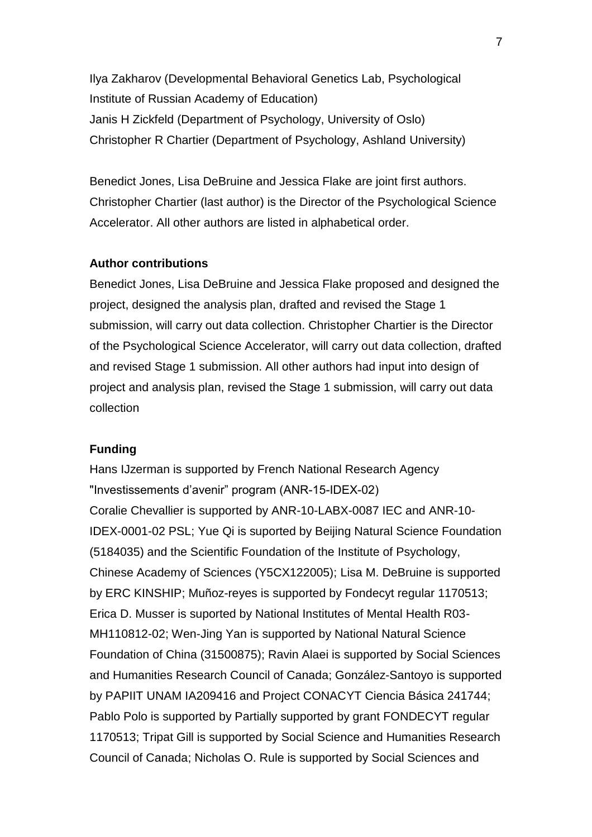Ilya Zakharov (Developmental Behavioral Genetics Lab, Psychological Institute of Russian Academy of Education) Janis H Zickfeld (Department of Psychology, University of Oslo) Christopher R Chartier (Department of Psychology, Ashland University)

Benedict Jones, Lisa DeBruine and Jessica Flake are joint first authors. Christopher Chartier (last author) is the Director of the Psychological Science Accelerator. All other authors are listed in alphabetical order.

### **Author contributions**

Benedict Jones, Lisa DeBruine and Jessica Flake proposed and designed the project, designed the analysis plan, drafted and revised the Stage 1 submission, will carry out data collection. Christopher Chartier is the Director of the Psychological Science Accelerator, will carry out data collection, drafted and revised Stage 1 submission. All other authors had input into design of project and analysis plan, revised the Stage 1 submission, will carry out data collection

#### **Funding**

Hans IJzerman is supported by French National Research Agency "Investissements d'avenir" program (ANR-15-IDEX-02) Coralie Chevallier is supported by ANR-10-LABX-0087 IEC and ANR-10- IDEX-0001-02 PSL; Yue Qi is suported by Beijing Natural Science Foundation (5184035) and the Scientific Foundation of the Institute of Psychology, Chinese Academy of Sciences (Y5CX122005); Lisa M. DeBruine is supported by ERC KINSHIP; Muñoz-reyes is supported by Fondecyt regular 1170513; Erica D. Musser is suported by National Institutes of Mental Health R03- MH110812-02; Wen-Jing Yan is supported by National Natural Science Foundation of China (31500875); Ravin Alaei is supported by Social Sciences and Humanities Research Council of Canada; González-Santoyo is supported by PAPIIT UNAM IA209416 and Project CONACYT Ciencia Básica 241744; Pablo Polo is supported by Partially supported by grant FONDECYT regular 1170513; Tripat Gill is supported by Social Science and Humanities Research Council of Canada; Nicholas O. Rule is supported by Social Sciences and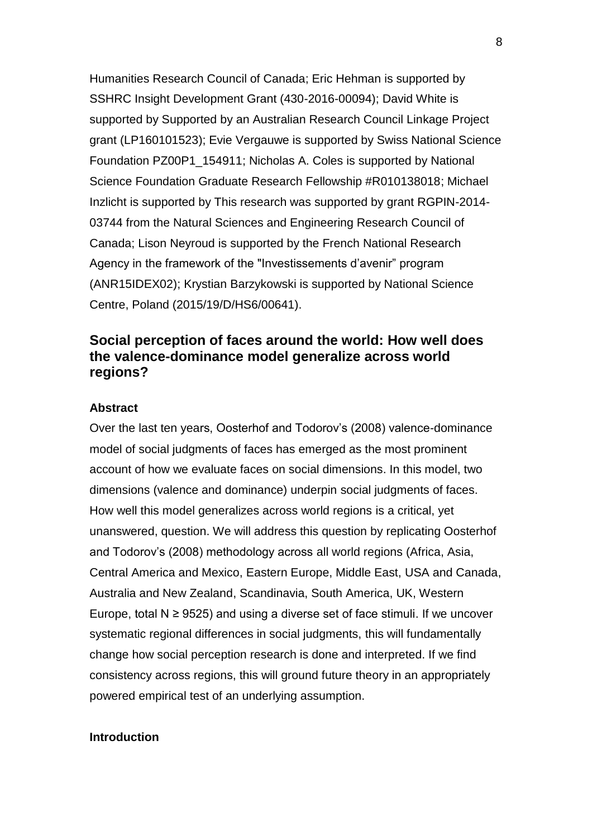Humanities Research Council of Canada; Eric Hehman is supported by SSHRC Insight Development Grant (430-2016-00094); David White is supported by Supported by an Australian Research Council Linkage Project grant (LP160101523); Evie Vergauwe is supported by Swiss National Science Foundation PZ00P1\_154911; Nicholas A. Coles is supported by National Science Foundation Graduate Research Fellowship #R010138018; Michael Inzlicht is supported by This research was supported by grant RGPIN-2014- 03744 from the Natural Sciences and Engineering Research Council of Canada; Lison Neyroud is supported by the French National Research Agency in the framework of the "Investissements d'avenir" program (ANR15IDEX02); Krystian Barzykowski is supported by National Science Centre, Poland (2015/19/D/HS6/00641).

# **Social perception of faces around the world: How well does the valence-dominance model generalize across world regions?**

#### **Abstract**

Over the last ten years, Oosterhof and Todorov's (2008) valence-dominance model of social judgments of faces has emerged as the most prominent account of how we evaluate faces on social dimensions. In this model, two dimensions (valence and dominance) underpin social judgments of faces. How well this model generalizes across world regions is a critical, yet unanswered, question. We will address this question by replicating Oosterhof and Todorov's (2008) methodology across all world regions (Africa, Asia, Central America and Mexico, Eastern Europe, Middle East, USA and Canada, Australia and New Zealand, Scandinavia, South America, UK, Western Europe, total  $N \ge 9525$ ) and using a diverse set of face stimuli. If we uncover systematic regional differences in social judgments, this will fundamentally change how social perception research is done and interpreted. If we find consistency across regions, this will ground future theory in an appropriately powered empirical test of an underlying assumption.

#### **Introduction**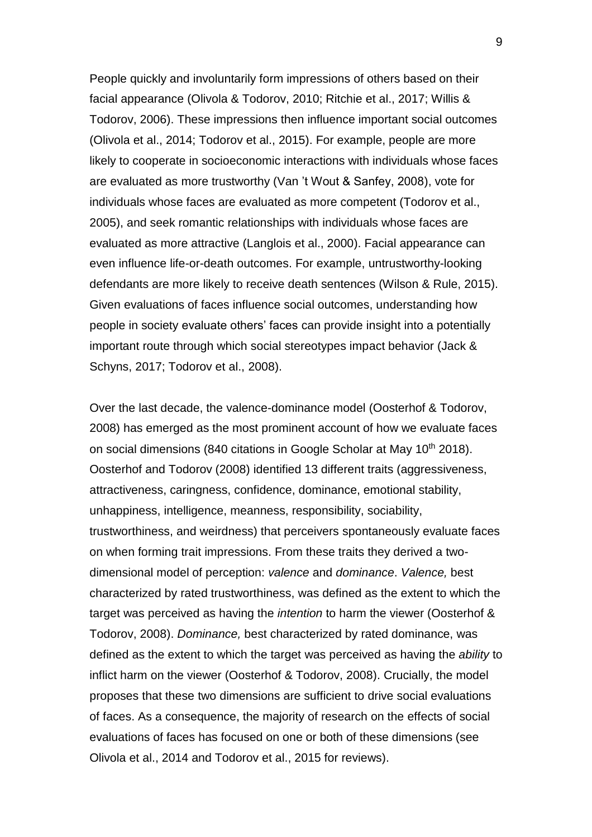People quickly and involuntarily form impressions of others based on their facial appearance (Olivola & Todorov, 2010; Ritchie et al., 2017; Willis & Todorov, 2006). These impressions then influence important social outcomes (Olivola et al., 2014; Todorov et al., 2015). For example, people are more likely to cooperate in socioeconomic interactions with individuals whose faces are evaluated as more trustworthy (Van 't Wout & Sanfey, 2008), vote for individuals whose faces are evaluated as more competent (Todorov et al., 2005), and seek romantic relationships with individuals whose faces are evaluated as more attractive (Langlois et al., 2000). Facial appearance can even influence life-or-death outcomes. For example, untrustworthy-looking defendants are more likely to receive death sentences (Wilson & Rule, 2015). Given evaluations of faces influence social outcomes, understanding how people in society evaluate others' faces can provide insight into a potentially important route through which social stereotypes impact behavior (Jack & Schyns, 2017; Todorov et al., 2008).

Over the last decade, the valence-dominance model (Oosterhof & Todorov, 2008) has emerged as the most prominent account of how we evaluate faces on social dimensions (840 citations in Google Scholar at May  $10^{th}$  2018). Oosterhof and Todorov (2008) identified 13 different traits (aggressiveness, attractiveness, caringness, confidence, dominance, emotional stability, unhappiness, intelligence, meanness, responsibility, sociability, trustworthiness, and weirdness) that perceivers spontaneously evaluate faces on when forming trait impressions. From these traits they derived a twodimensional model of perception: *valence* and *dominance*. *Valence,* best characterized by rated trustworthiness, was defined as the extent to which the target was perceived as having the *intention* to harm the viewer (Oosterhof & Todorov, 2008). *Dominance,* best characterized by rated dominance, was defined as the extent to which the target was perceived as having the *ability* to inflict harm on the viewer (Oosterhof & Todorov, 2008). Crucially, the model proposes that these two dimensions are sufficient to drive social evaluations of faces. As a consequence, the majority of research on the effects of social evaluations of faces has focused on one or both of these dimensions (see Olivola et al., 2014 and Todorov et al., 2015 for reviews).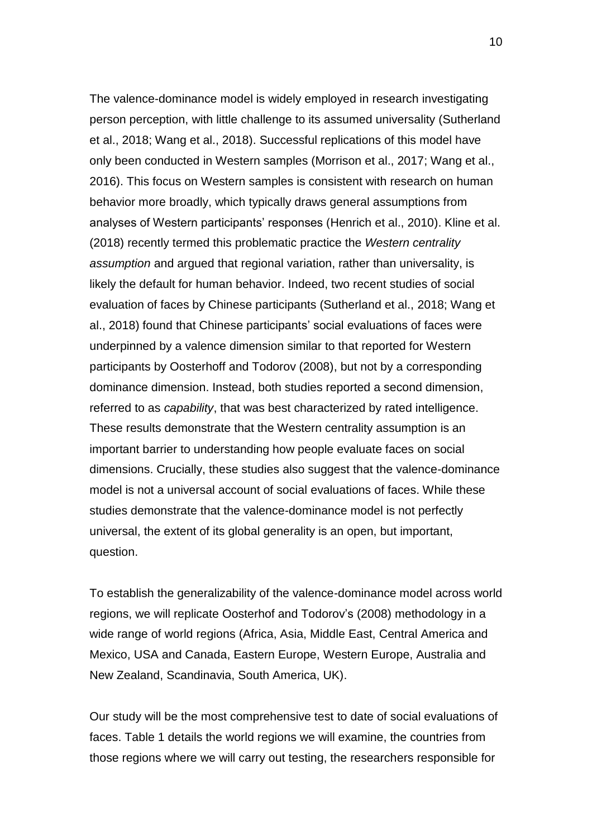The valence-dominance model is widely employed in research investigating person perception, with little challenge to its assumed universality (Sutherland et al., 2018; Wang et al., 2018). Successful replications of this model have only been conducted in Western samples (Morrison et al., 2017; Wang et al., 2016). This focus on Western samples is consistent with research on human behavior more broadly, which typically draws general assumptions from analyses of Western participants' responses (Henrich et al., 2010). Kline et al. (2018) recently termed this problematic practice the *Western centrality assumption* and argued that regional variation, rather than universality, is likely the default for human behavior. Indeed, two recent studies of social evaluation of faces by Chinese participants (Sutherland et al., 2018; Wang et al., 2018) found that Chinese participants' social evaluations of faces were underpinned by a valence dimension similar to that reported for Western participants by Oosterhoff and Todorov (2008), but not by a corresponding dominance dimension. Instead, both studies reported a second dimension, referred to as *capability*, that was best characterized by rated intelligence. These results demonstrate that the Western centrality assumption is an important barrier to understanding how people evaluate faces on social dimensions. Crucially, these studies also suggest that the valence-dominance model is not a universal account of social evaluations of faces. While these studies demonstrate that the valence-dominance model is not perfectly universal, the extent of its global generality is an open, but important, question.

To establish the generalizability of the valence-dominance model across world regions, we will replicate Oosterhof and Todorov's (2008) methodology in a wide range of world regions (Africa, Asia, Middle East, Central America and Mexico, USA and Canada, Eastern Europe, Western Europe, Australia and New Zealand, Scandinavia, South America, UK).

Our study will be the most comprehensive test to date of social evaluations of faces. Table 1 details the world regions we will examine, the countries from those regions where we will carry out testing, the researchers responsible for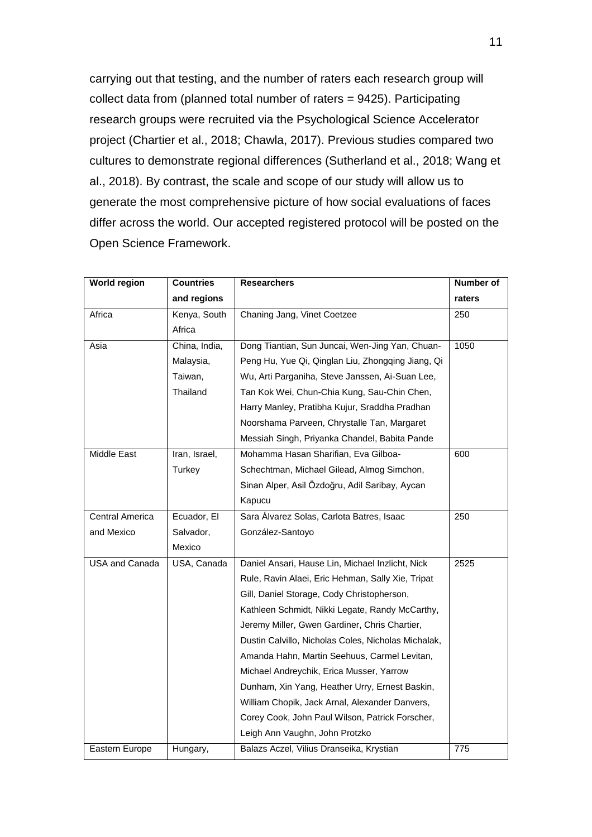carrying out that testing, and the number of raters each research group will collect data from (planned total number of raters = 9425). Participating research groups were recruited via the Psychological Science Accelerator project (Chartier et al., 2018; Chawla, 2017). Previous studies compared two cultures to demonstrate regional differences (Sutherland et al., 2018; Wang et al., 2018). By contrast, the scale and scope of our study will allow us to generate the most comprehensive picture of how social evaluations of faces differ across the world. Our accepted registered protocol will be posted on the Open Science Framework.

| <b>World region</b>   | <b>Countries</b> | <b>Researchers</b>                                  | <b>Number of</b> |
|-----------------------|------------------|-----------------------------------------------------|------------------|
|                       | and regions      |                                                     | raters           |
| Africa                | Kenya, South     | Chaning Jang, Vinet Coetzee                         | 250              |
|                       | Africa           |                                                     |                  |
| Asia                  | China, India,    | Dong Tiantian, Sun Juncai, Wen-Jing Yan, Chuan-     | 1050             |
|                       | Malaysia,        | Peng Hu, Yue Qi, Qinglan Liu, Zhongqing Jiang, Qi   |                  |
|                       | Taiwan,          | Wu, Arti Parganiha, Steve Janssen, Ai-Suan Lee,     |                  |
|                       | Thailand         | Tan Kok Wei, Chun-Chia Kung, Sau-Chin Chen,         |                  |
|                       |                  | Harry Manley, Pratibha Kujur, Sraddha Pradhan       |                  |
|                       |                  | Noorshama Parveen, Chrystalle Tan, Margaret         |                  |
|                       |                  | Messiah Singh, Priyanka Chandel, Babita Pande       |                  |
| Middle East           | Iran, Israel,    | Mohamma Hasan Sharifian, Eva Gilboa-                | 600              |
|                       | Turkey           | Schechtman, Michael Gilead, Almog Simchon,          |                  |
|                       |                  | Sinan Alper, Asil Özdoğru, Adil Saribay, Aycan      |                  |
|                       |                  | Kapucu                                              |                  |
| Central America       | Ecuador, El      | Sara Álvarez Solas, Carlota Batres, Isaac           | 250              |
| and Mexico            | Salvador,        | González-Santoyo                                    |                  |
|                       | Mexico           |                                                     |                  |
| <b>USA and Canada</b> | USA, Canada      | Daniel Ansari, Hause Lin, Michael Inzlicht, Nick    | 2525             |
|                       |                  | Rule, Ravin Alaei, Eric Hehman, Sally Xie, Tripat   |                  |
|                       |                  | Gill, Daniel Storage, Cody Christopherson,          |                  |
|                       |                  | Kathleen Schmidt, Nikki Legate, Randy McCarthy,     |                  |
|                       |                  | Jeremy Miller, Gwen Gardiner, Chris Chartier,       |                  |
|                       |                  | Dustin Calvillo, Nicholas Coles, Nicholas Michalak, |                  |
|                       |                  | Amanda Hahn, Martin Seehuus, Carmel Levitan,        |                  |
|                       |                  | Michael Andreychik, Erica Musser, Yarrow            |                  |
|                       |                  | Dunham, Xin Yang, Heather Urry, Ernest Baskin,      |                  |
|                       |                  | William Chopik, Jack Arnal, Alexander Danvers,      |                  |
|                       |                  | Corey Cook, John Paul Wilson, Patrick Forscher,     |                  |
|                       |                  | Leigh Ann Vaughn, John Protzko                      |                  |
| Eastern Europe        | Hungary,         | Balazs Aczel, Vilius Dranseika, Krystian            | 775              |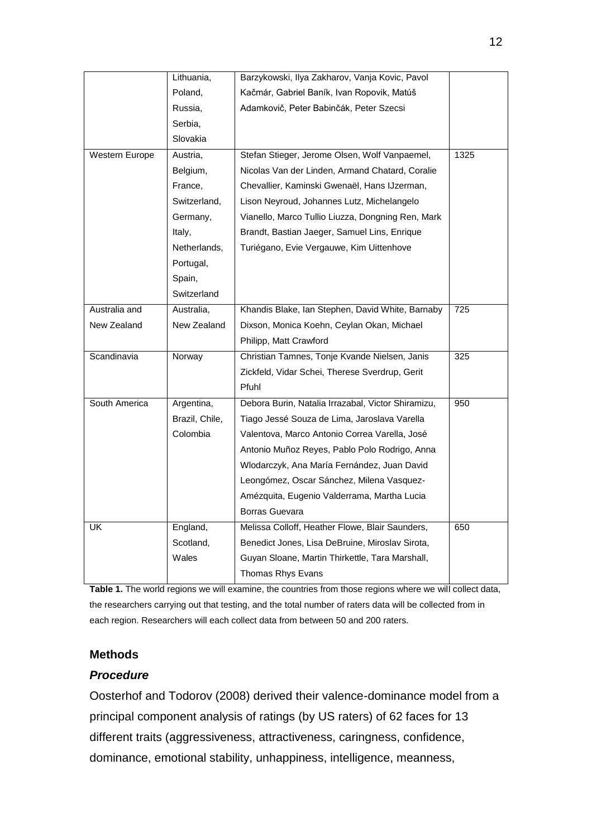|                | Lithuania,     | Barzykowski, Ilya Zakharov, Vanja Kovic, Pavol     |      |
|----------------|----------------|----------------------------------------------------|------|
|                | Poland,        | Kačmár, Gabriel Baník, Ivan Ropovik, Matúš         |      |
|                | Russia,        | Adamkovič, Peter Babinčák, Peter Szecsi            |      |
|                | Serbia,        |                                                    |      |
|                | Slovakia       |                                                    |      |
| Western Europe | Austria,       | Stefan Stieger, Jerome Olsen, Wolf Vanpaemel,      | 1325 |
|                | Belgium,       | Nicolas Van der Linden, Armand Chatard, Coralie    |      |
|                | France,        | Chevallier, Kaminski Gwenaël, Hans IJzerman,       |      |
|                | Switzerland,   | Lison Neyroud, Johannes Lutz, Michelangelo         |      |
|                | Germany,       | Vianello, Marco Tullio Liuzza, Dongning Ren, Mark  |      |
|                | Italy,         | Brandt, Bastian Jaeger, Samuel Lins, Enrique       |      |
|                | Netherlands,   | Turiégano, Evie Vergauwe, Kim Uittenhove           |      |
|                | Portugal,      |                                                    |      |
|                | Spain,         |                                                    |      |
|                | Switzerland    |                                                    |      |
| Australia and  | Australia,     | Khandis Blake, Ian Stephen, David White, Barnaby   | 725  |
| New Zealand    | New Zealand    | Dixson, Monica Koehn, Ceylan Okan, Michael         |      |
|                |                | Philipp, Matt Crawford                             |      |
| Scandinavia    | Norway         | Christian Tamnes, Tonje Kvande Nielsen, Janis      | 325  |
|                |                | Zickfeld, Vidar Schei, Therese Sverdrup, Gerit     |      |
|                |                | Pfuhl                                              |      |
| South America  | Argentina,     | Debora Burin, Natalia Irrazabal, Victor Shiramizu, | 950  |
|                | Brazil, Chile, | Tiago Jessé Souza de Lima, Jaroslava Varella       |      |
|                | Colombia       | Valentova, Marco Antonio Correa Varella, José      |      |
|                |                | Antonio Muñoz Reyes, Pablo Polo Rodrigo, Anna      |      |
|                |                | Wlodarczyk, Ana María Fernández, Juan David        |      |
|                |                | Leongómez, Oscar Sánchez, Milena Vasquez-          |      |
|                |                | Amézquita, Eugenio Valderrama, Martha Lucia        |      |
|                |                | <b>Borras Guevara</b>                              |      |
| UK             | England,       | Melissa Colloff, Heather Flowe, Blair Saunders,    | 650  |
|                | Scotland,      | Benedict Jones, Lisa DeBruine, Miroslav Sirota,    |      |
|                | Wales          | Guyan Sloane, Martin Thirkettle, Tara Marshall,    |      |
|                |                | Thomas Rhys Evans                                  |      |

**Table 1.** The world regions we will examine, the countries from those regions where we will collect data, the researchers carrying out that testing, and the total number of raters data will be collected from in each region. Researchers will each collect data from between 50 and 200 raters.

### **Methods**

# *Procedure*

Oosterhof and Todorov (2008) derived their valence-dominance model from a principal component analysis of ratings (by US raters) of 62 faces for 13 different traits (aggressiveness, attractiveness, caringness, confidence, dominance, emotional stability, unhappiness, intelligence, meanness,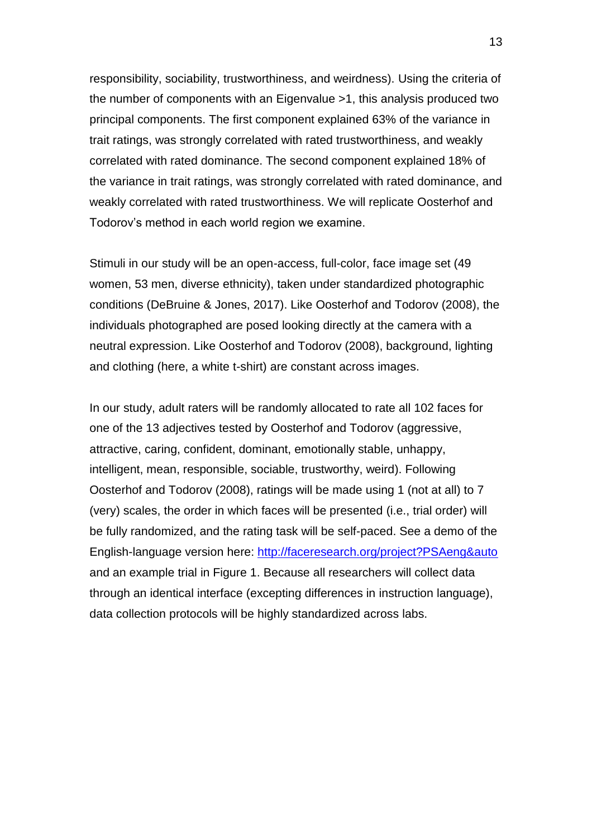responsibility, sociability, trustworthiness, and weirdness). Using the criteria of the number of components with an Eigenvalue >1, this analysis produced two principal components. The first component explained 63% of the variance in trait ratings, was strongly correlated with rated trustworthiness, and weakly correlated with rated dominance. The second component explained 18% of the variance in trait ratings, was strongly correlated with rated dominance, and weakly correlated with rated trustworthiness. We will replicate Oosterhof and Todorov's method in each world region we examine.

Stimuli in our study will be an open-access, full-color, face image set (49 women, 53 men, diverse ethnicity), taken under standardized photographic conditions (DeBruine & Jones, 2017). Like Oosterhof and Todorov (2008), the individuals photographed are posed looking directly at the camera with a neutral expression. Like Oosterhof and Todorov (2008), background, lighting and clothing (here, a white t-shirt) are constant across images.

In our study, adult raters will be randomly allocated to rate all 102 faces for one of the 13 adjectives tested by Oosterhof and Todorov (aggressive, attractive, caring, confident, dominant, emotionally stable, unhappy, intelligent, mean, responsible, sociable, trustworthy, weird). Following Oosterhof and Todorov (2008), ratings will be made using 1 (not at all) to 7 (very) scales, the order in which faces will be presented (i.e., trial order) will be fully randomized, and the rating task will be self-paced. See a demo of the English-language version here: <http://faceresearch.org/project?PSAeng&auto> and an example trial in Figure 1. Because all researchers will collect data through an identical interface (excepting differences in instruction language), data collection protocols will be highly standardized across labs.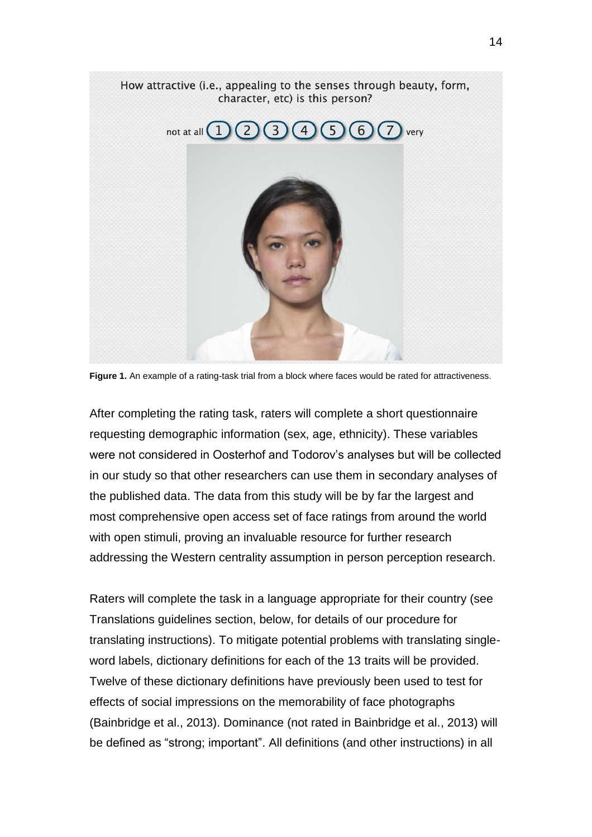

**Figure 1.** An example of a rating-task trial from a block where faces would be rated for attractiveness.

After completing the rating task, raters will complete a short questionnaire requesting demographic information (sex, age, ethnicity). These variables were not considered in Oosterhof and Todorov's analyses but will be collected in our study so that other researchers can use them in secondary analyses of the published data. The data from this study will be by far the largest and most comprehensive open access set of face ratings from around the world with open stimuli, proving an invaluable resource for further research addressing the Western centrality assumption in person perception research.

Raters will complete the task in a language appropriate for their country (see Translations guidelines section, below, for details of our procedure for translating instructions). To mitigate potential problems with translating singleword labels, dictionary definitions for each of the 13 traits will be provided. Twelve of these dictionary definitions have previously been used to test for effects of social impressions on the memorability of face photographs (Bainbridge et al., 2013). Dominance (not rated in Bainbridge et al., 2013) will be defined as "strong; important". All definitions (and other instructions) in all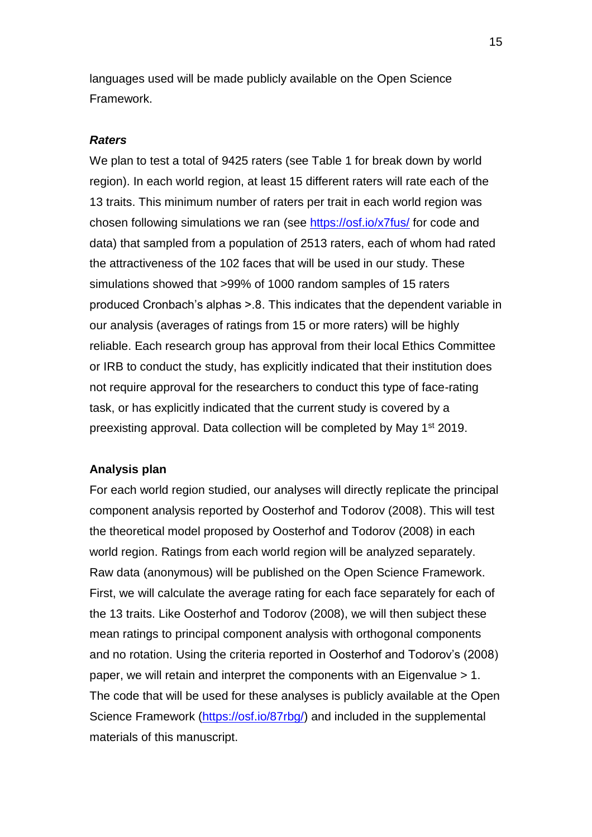languages used will be made publicly available on the Open Science Framework.

#### *Raters*

We plan to test a total of 9425 raters (see Table 1 for break down by world region). In each world region, at least 15 different raters will rate each of the 13 traits. This minimum number of raters per trait in each world region was chosen following simulations we ran (see<https://osf.io/x7fus/> for code and data) that sampled from a population of 2513 raters, each of whom had rated the attractiveness of the 102 faces that will be used in our study. These simulations showed that >99% of 1000 random samples of 15 raters produced Cronbach's alphas >.8. This indicates that the dependent variable in our analysis (averages of ratings from 15 or more raters) will be highly reliable. Each research group has approval from their local Ethics Committee or IRB to conduct the study, has explicitly indicated that their institution does not require approval for the researchers to conduct this type of face-rating task, or has explicitly indicated that the current study is covered by a preexisting approval. Data collection will be completed by May 1<sup>st</sup> 2019.

#### **Analysis plan**

For each world region studied, our analyses will directly replicate the principal component analysis reported by Oosterhof and Todorov (2008). This will test the theoretical model proposed by Oosterhof and Todorov (2008) in each world region. Ratings from each world region will be analyzed separately. Raw data (anonymous) will be published on the Open Science Framework. First, we will calculate the average rating for each face separately for each of the 13 traits. Like Oosterhof and Todorov (2008), we will then subject these mean ratings to principal component analysis with orthogonal components and no rotation. Using the criteria reported in Oosterhof and Todorov's (2008) paper, we will retain and interpret the components with an Eigenvalue > 1. The code that will be used for these analyses is publicly available at the Open Science Framework [\(https://osf.io/87rbg/\)](https://osf.io/87rbg/) and included in the supplemental materials of this manuscript.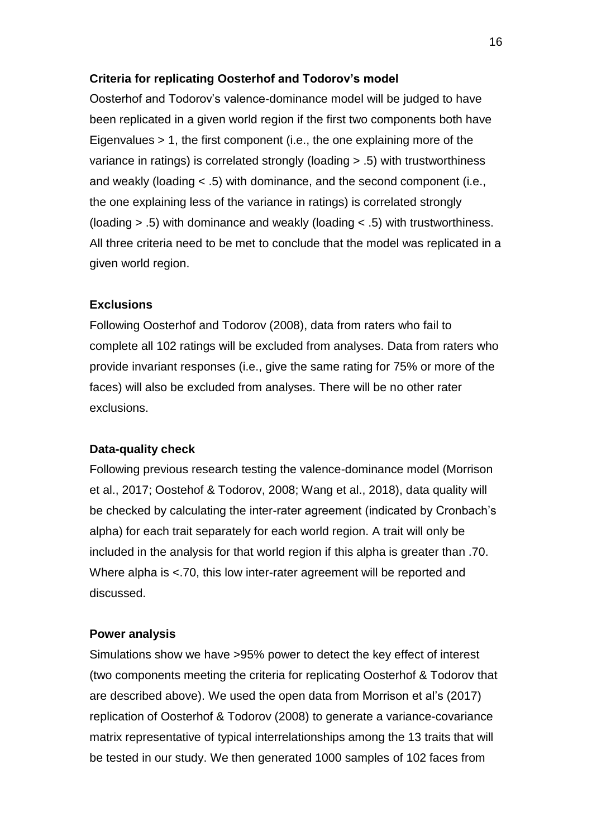#### **Criteria for replicating Oosterhof and Todorov's model**

Oosterhof and Todorov's valence-dominance model will be judged to have been replicated in a given world region if the first two components both have Eigenvalues > 1, the first component (i.e., the one explaining more of the variance in ratings) is correlated strongly (loading > .5) with trustworthiness and weakly (loading < .5) with dominance, and the second component (i.e., the one explaining less of the variance in ratings) is correlated strongly (loading > .5) with dominance and weakly (loading < .5) with trustworthiness. All three criteria need to be met to conclude that the model was replicated in a given world region.

#### **Exclusions**

Following Oosterhof and Todorov (2008), data from raters who fail to complete all 102 ratings will be excluded from analyses. Data from raters who provide invariant responses (i.e., give the same rating for 75% or more of the faces) will also be excluded from analyses. There will be no other rater exclusions.

#### **Data-quality check**

Following previous research testing the valence-dominance model (Morrison et al., 2017; Oostehof & Todorov, 2008; Wang et al., 2018), data quality will be checked by calculating the inter-rater agreement (indicated by Cronbach's alpha) for each trait separately for each world region. A trait will only be included in the analysis for that world region if this alpha is greater than .70. Where alpha is <.70, this low inter-rater agreement will be reported and discussed.

#### **Power analysis**

Simulations show we have >95% power to detect the key effect of interest (two components meeting the criteria for replicating Oosterhof & Todorov that are described above). We used the open data from Morrison et al's (2017) replication of Oosterhof & Todorov (2008) to generate a variance-covariance matrix representative of typical interrelationships among the 13 traits that will be tested in our study. We then generated 1000 samples of 102 faces from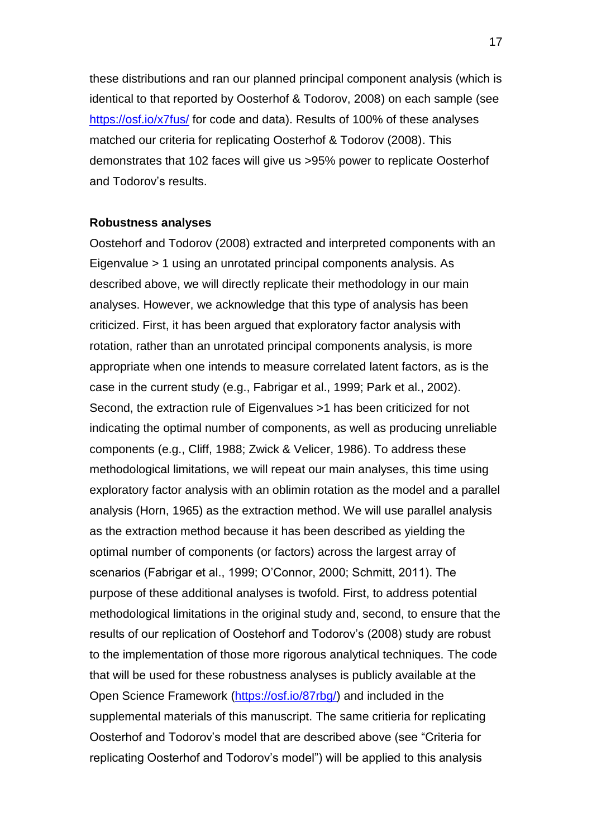these distributions and ran our planned principal component analysis (which is identical to that reported by Oosterhof & Todorov, 2008) on each sample (see <https://osf.io/x7fus/> for code and data). Results of 100% of these analyses matched our criteria for replicating Oosterhof & Todorov (2008). This demonstrates that 102 faces will give us >95% power to replicate Oosterhof and Todorov's results.

#### **Robustness analyses**

Oostehorf and Todorov (2008) extracted and interpreted components with an Eigenvalue > 1 using an unrotated principal components analysis. As described above, we will directly replicate their methodology in our main analyses. However, we acknowledge that this type of analysis has been criticized. First, it has been argued that exploratory factor analysis with rotation, rather than an unrotated principal components analysis, is more appropriate when one intends to measure correlated latent factors, as is the case in the current study (e.g., Fabrigar et al., 1999; Park et al., 2002). Second, the extraction rule of Eigenvalues >1 has been criticized for not indicating the optimal number of components, as well as producing unreliable components (e.g., Cliff, 1988; Zwick & Velicer, 1986). To address these methodological limitations, we will repeat our main analyses, this time using exploratory factor analysis with an oblimin rotation as the model and a parallel analysis (Horn, 1965) as the extraction method. We will use parallel analysis as the extraction method because it has been described as yielding the optimal number of components (or factors) across the largest array of scenarios (Fabrigar et al., 1999; O'Connor, 2000; Schmitt, 2011). The purpose of these additional analyses is twofold. First, to address potential methodological limitations in the original study and, second, to ensure that the results of our replication of Oostehorf and Todorov's (2008) study are robust to the implementation of those more rigorous analytical techniques. The code that will be used for these robustness analyses is publicly available at the Open Science Framework [\(https://osf.io/87rbg/\)](https://osf.io/87rbg/) and included in the supplemental materials of this manuscript. The same critieria for replicating Oosterhof and Todorov's model that are described above (see "Criteria for replicating Oosterhof and Todorov's model") will be applied to this analysis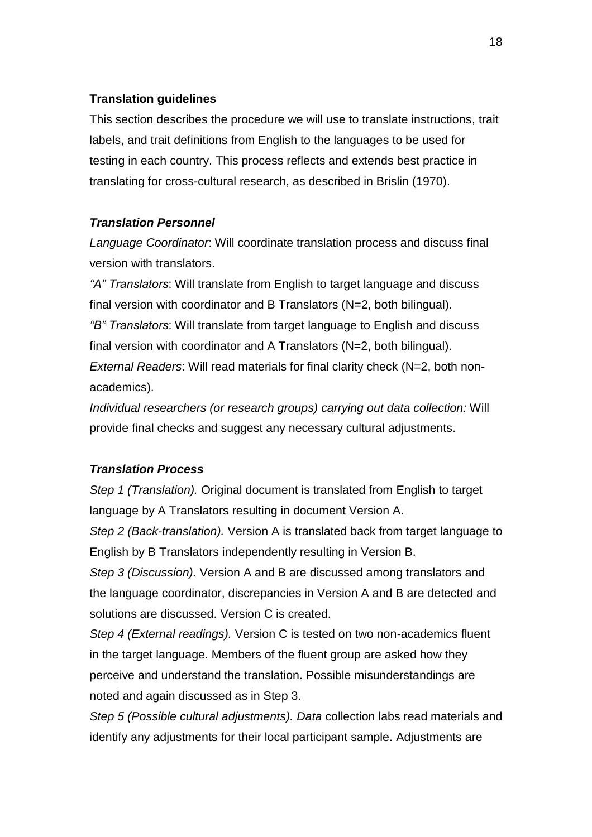### **Translation guidelines**

This section describes the procedure we will use to translate instructions, trait labels, and trait definitions from English to the languages to be used for testing in each country. This process reflects and extends best practice in translating for cross-cultural research, as described in Brislin (1970).

# *Translation Personnel*

*Language Coordinator*: Will coordinate translation process and discuss final version with translators.

*"A" Translators*: Will translate from English to target language and discuss final version with coordinator and B Translators (N=2, both bilingual). *"B" Translators*: Will translate from target language to English and discuss final version with coordinator and A Translators (N=2, both bilingual). *External Readers*: Will read materials for final clarity check (N=2, both nonacademics).

*Individual researchers (or research groups) carrying out data collection:* Will provide final checks and suggest any necessary cultural adjustments.

#### *Translation Process*

*Step 1 (Translation).* Original document is translated from English to target language by A Translators resulting in document Version A.

*Step 2 (Back-translation).* Version A is translated back from target language to English by B Translators independently resulting in Version B.

*Step 3 (Discussion).* Version A and B are discussed among translators and the language coordinator, discrepancies in Version A and B are detected and solutions are discussed. Version C is created.

*Step 4 (External readings).* Version C is tested on two non-academics fluent in the target language. Members of the fluent group are asked how they perceive and understand the translation. Possible misunderstandings are noted and again discussed as in Step 3.

*Step 5 (Possible cultural adjustments). Data* collection labs read materials and identify any adjustments for their local participant sample. Adjustments are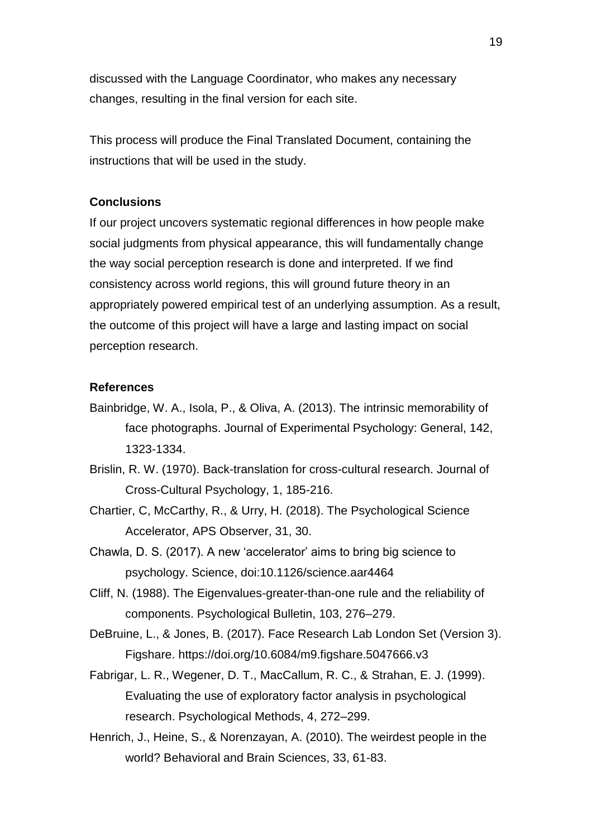discussed with the Language Coordinator, who makes any necessary changes, resulting in the final version for each site.

This process will produce the Final Translated Document, containing the instructions that will be used in the study.

### **Conclusions**

If our project uncovers systematic regional differences in how people make social judgments from physical appearance, this will fundamentally change the way social perception research is done and interpreted. If we find consistency across world regions, this will ground future theory in an appropriately powered empirical test of an underlying assumption. As a result, the outcome of this project will have a large and lasting impact on social perception research.

#### **References**

- Bainbridge, W. A., Isola, P., & Oliva, A. (2013). The intrinsic memorability of face photographs. Journal of Experimental Psychology: General, 142, 1323-1334.
- Brislin, R. W. (1970). Back-translation for cross-cultural research. Journal of Cross-Cultural Psychology, 1, 185-216.
- Chartier, C, McCarthy, R., & Urry, H. (2018). The Psychological Science Accelerator, APS Observer, 31, 30.
- Chawla, D. S. (2017). A new 'accelerator' aims to bring big science to psychology. Science, doi:10.1126/science.aar4464
- Cliff, N. (1988). The Eigenvalues-greater-than-one rule and the reliability of components. Psychological Bulletin, 103, 276–279.

DeBruine, L., & Jones, B. (2017). Face Research Lab London Set (Version 3). Figshare. https://doi.org/10.6084/m9.figshare.5047666.v3

- Fabrigar, L. R., Wegener, D. T., MacCallum, R. C., & Strahan, E. J. (1999). Evaluating the use of exploratory factor analysis in psychological research. Psychological Methods, 4, 272–299.
- Henrich, J., Heine, S., & Norenzayan, A. (2010). The weirdest people in the world? Behavioral and Brain Sciences, 33, 61-83.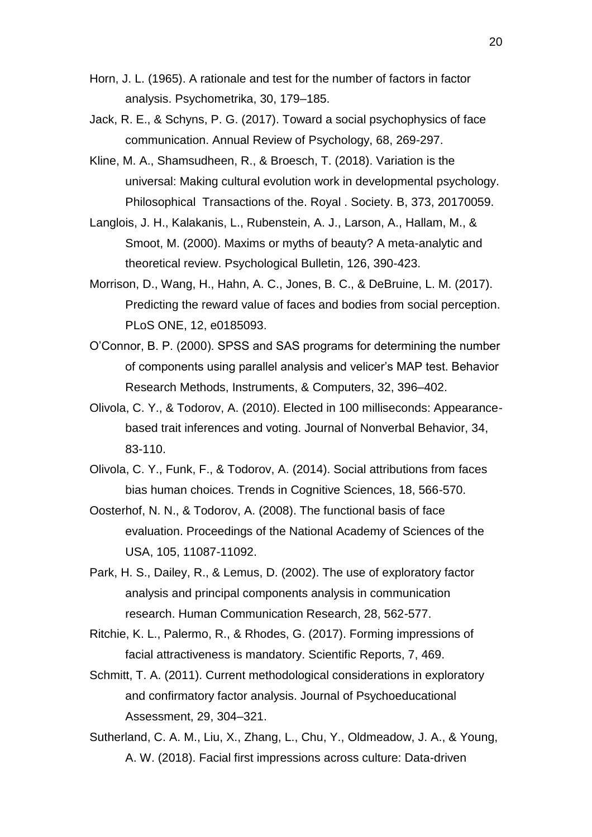- Horn, J. L. (1965). A rationale and test for the number of factors in factor analysis. Psychometrika, 30, 179–185.
- Jack, R. E., & Schyns, P. G. (2017). Toward a social psychophysics of face communication. Annual Review of Psychology, 68, 269-297.
- Kline, M. A., Shamsudheen, R., & Broesch, T. (2018). Variation is the universal: Making cultural evolution work in developmental psychology. Philosophical Transactions of the. Royal . Society. B, 373, 20170059.
- Langlois, J. H., Kalakanis, L., Rubenstein, A. J., Larson, A., Hallam, M., & Smoot, M. (2000). Maxims or myths of beauty? A meta-analytic and theoretical review. Psychological Bulletin, 126, 390-423.
- Morrison, D., Wang, H., Hahn, A. C., Jones, B. C., & DeBruine, L. M. (2017). Predicting the reward value of faces and bodies from social perception. PLoS ONE, 12, e0185093.
- O'Connor, B. P. (2000). SPSS and SAS programs for determining the number of components using parallel analysis and velicer's MAP test. Behavior Research Methods, Instruments, & Computers, 32, 396–402.
- Olivola, C. Y., & Todorov, A. (2010). Elected in 100 milliseconds: Appearancebased trait inferences and voting. Journal of Nonverbal Behavior, 34, 83-110.
- Olivola, C. Y., Funk, F., & Todorov, A. (2014). Social attributions from faces bias human choices. Trends in Cognitive Sciences, 18, 566-570.
- Oosterhof, N. N., & Todorov, A. (2008). The functional basis of face evaluation. Proceedings of the National Academy of Sciences of the USA, 105, 11087-11092.
- Park, H. S., Dailey, R., & Lemus, D. (2002). The use of exploratory factor analysis and principal components analysis in communication research. Human Communication Research, 28, 562-577.
- Ritchie, K. L., Palermo, R., & Rhodes, G. (2017). Forming impressions of facial attractiveness is mandatory. Scientific Reports, 7, 469.
- Schmitt, T. A. (2011). Current methodological considerations in exploratory and confirmatory factor analysis. Journal of Psychoeducational Assessment, 29, 304–321.
- Sutherland, C. A. M., Liu, X., Zhang, L., Chu, Y., Oldmeadow, J. A., & Young, A. W. (2018). Facial first impressions across culture: Data-driven